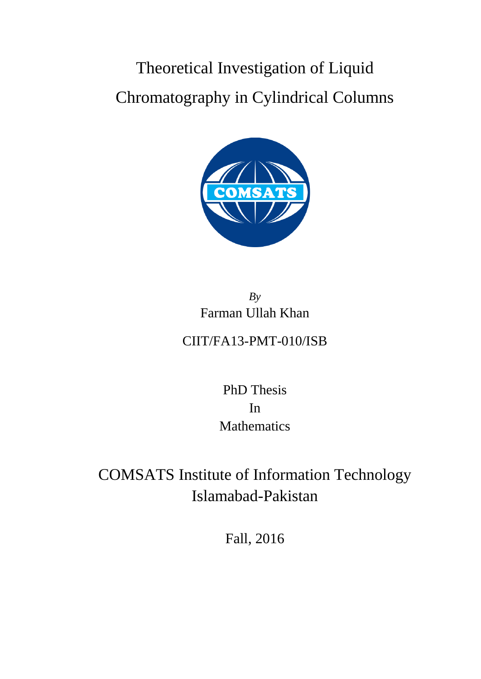# Theoretical Investigation of Liquid Chromatography in Cylindrical Columns



### *By* Farman Ullah Khan CIIT/FA13-PMT-010/ISB

PhD Thesis In Mathematics

## COMSATS Institute of Information Technology Islamabad-Pakistan

Fall, 2016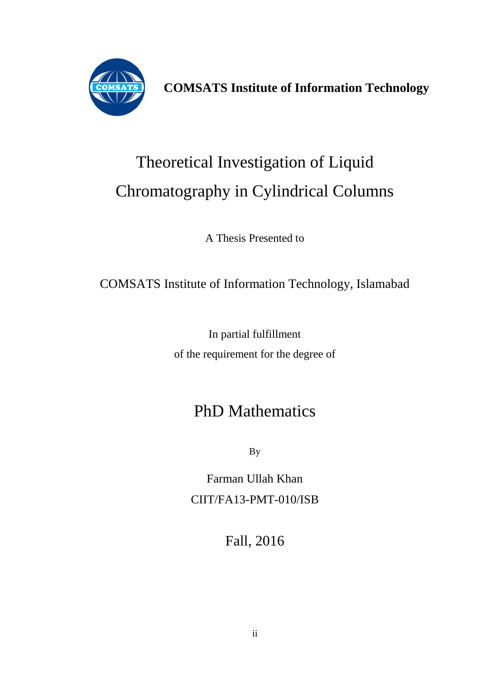

**COMSATS Institute of Information Technology**

## Theoretical Investigation of Liquid Chromatography in Cylindrical Columns

A Thesis Presented to

### COMSATS Institute of Information Technology, Islamabad

In partial fulfillment of the requirement for the degree of

## PhD Mathematics

By

Farman Ullah Khan CIIT/FA13-PMT-010/ISB

Fall, 2016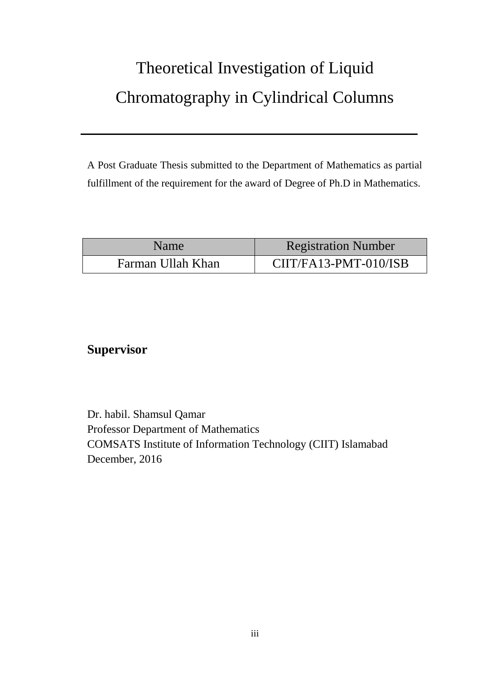## Theoretical Investigation of Liquid Chromatography in Cylindrical Columns

A Post Graduate Thesis submitted to the Department of Mathematics as partial fulfillment of the requirement for the award of Degree of Ph.D in Mathematics.

| Name <sup>1</sup> | <b>Registration Number</b> |
|-------------------|----------------------------|
| Farman Ullah Khan | $CIT/FA13-PMT-010/ISB$     |

#### **Supervisor**

Dr. habil. Shamsul Qamar Professor Department of Mathematics COMSATS Institute of Information Technology (CIIT) Islamabad December, 2016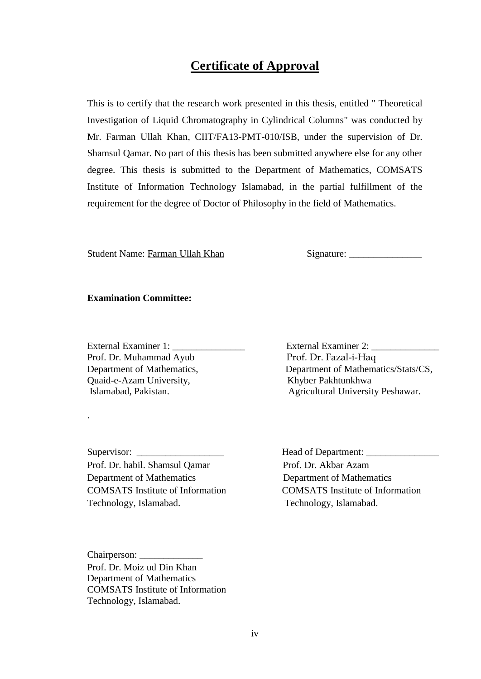#### **Certificate of Approval**

This is to certify that the research work presented in this thesis, entitled " Theoretical Investigation of Liquid Chromatography in Cylindrical Columns" was conducted by Mr. Farman Ullah Khan, CIIT/FA13-PMT-010/ISB, under the supervision of Dr. Shamsul Qamar. No part of this thesis has been submitted anywhere else for any other degree. This thesis is submitted to the Department of Mathematics, COMSATS Institute of Information Technology Islamabad, in the partial fulfillment of the requirement for the degree of Doctor of Philosophy in the field of Mathematics.

Student Name: Farman Ullah Khan Signature: \_\_\_\_\_\_\_\_\_\_\_\_\_\_\_

#### **Examination Committee:**

Prof. Dr. Muhammad Ayub Prof. Dr. Fazal-i-Haq Quaid-e-Azam University, Khyber Pakhtunkhwa

.

Supervisor: \_\_\_\_\_\_\_\_\_\_\_\_\_\_\_\_\_\_ Head of Department: \_\_\_\_\_\_\_\_\_\_\_\_\_\_\_ Prof. Dr. habil. Shamsul Qamar Prof. Dr. Akbar Azam Department of Mathematics Department of Mathematics Technology, Islamabad. Technology, Islamabad.

External Examiner 1: \_\_\_\_\_\_\_\_\_\_\_\_\_\_\_ External Examiner 2: \_\_\_\_\_\_\_\_\_\_\_\_\_\_ Department of Mathematics, Department of Mathematics/Stats/CS, Islamabad, Pakistan. Agricultural University Peshawar.

COMSATS Institute of Information COMSATS Institute of Information

Chairperson: Prof. Dr. Moiz ud Din Khan Department of Mathematics COMSATS Institute of Information Technology, Islamabad.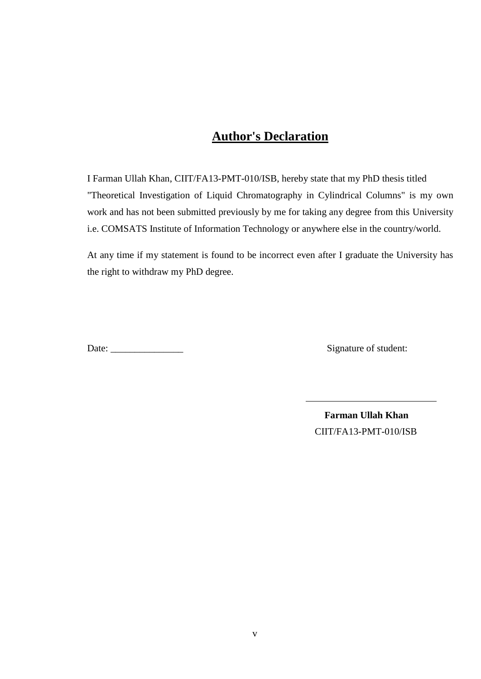#### **Author's Declaration**

I Farman Ullah Khan, CIIT/FA13-PMT-010/ISB, hereby state that my PhD thesis titled "Theoretical Investigation of Liquid Chromatography in Cylindrical Columns" is my own work and has not been submitted previously by me for taking any degree from this University i.e. COMSATS Institute of Information Technology or anywhere else in the country/world.

At any time if my statement is found to be incorrect even after I graduate the University has the right to withdraw my PhD degree.

Date: Signature of student:

 **Farman Ullah Khan** CIIT/FA13-PMT-010/ISB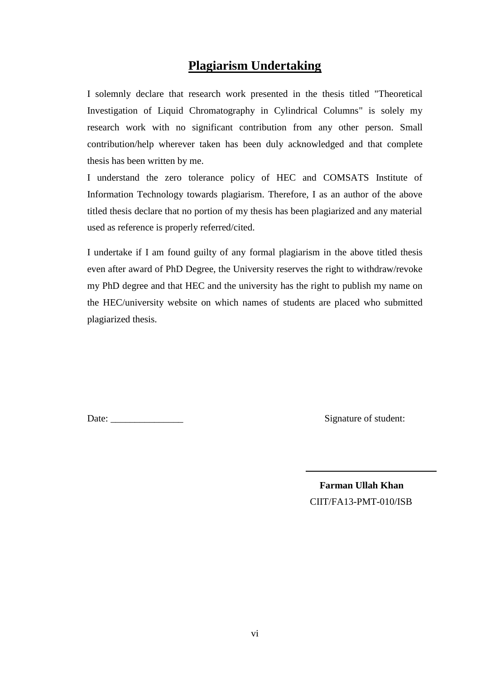#### **Plagiarism Undertaking**

I solemnly declare that research work presented in the thesis titled "Theoretical Investigation of Liquid Chromatography in Cylindrical Columns" is solely my research work with no significant contribution from any other person. Small contribution/help wherever taken has been duly acknowledged and that complete thesis has been written by me.

I understand the zero tolerance policy of HEC and COMSATS Institute of Information Technology towards plagiarism. Therefore, I as an author of the above titled thesis declare that no portion of my thesis has been plagiarized and any material used as reference is properly referred/cited.

I undertake if I am found guilty of any formal plagiarism in the above titled thesis even after award of PhD Degree, the University reserves the right to withdraw/revoke my PhD degree and that HEC and the university has the right to publish my name on the HEC/university website on which names of students are placed who submitted plagiarized thesis.

Date: \_\_\_\_\_\_\_\_\_\_\_\_\_\_\_ Signature of student:

 **Farman Ullah Khan** CIIT/FA13-PMT-010/ISB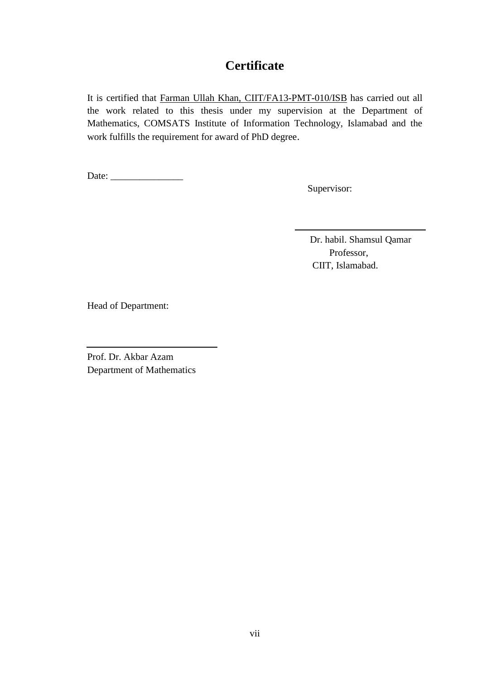#### **Certificate**

It is certified that Farman Ullah Khan, CIIT/FA13-PMT-010/ISB has carried out all the work related to this thesis under my supervision at the Department of Mathematics, COMSATS Institute of Information Technology, Islamabad and the work fulfills the requirement for award of PhD degree.

Date: \_\_\_\_\_\_\_\_\_\_\_\_\_\_\_

Supervisor:

 Dr. habil. Shamsul Qamar Professor, CIIT, Islamabad.

Head of Department:

Prof. Dr. Akbar Azam Department of Mathematics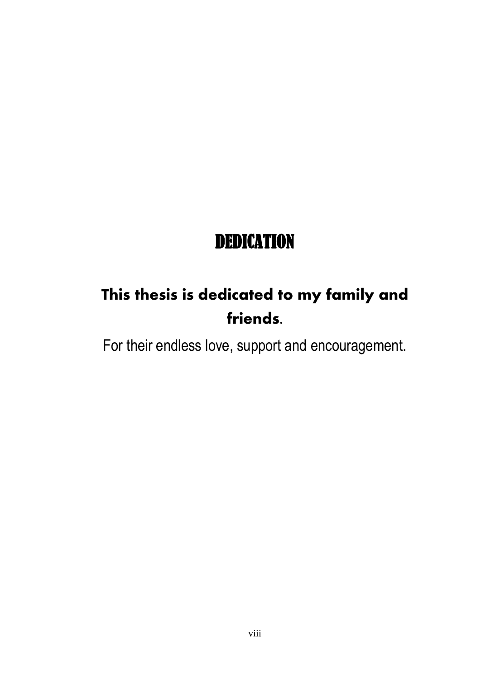## DEDICATION

## **This thesis is dedicated to my family and friends.**

For their endless love, support and encouragement.